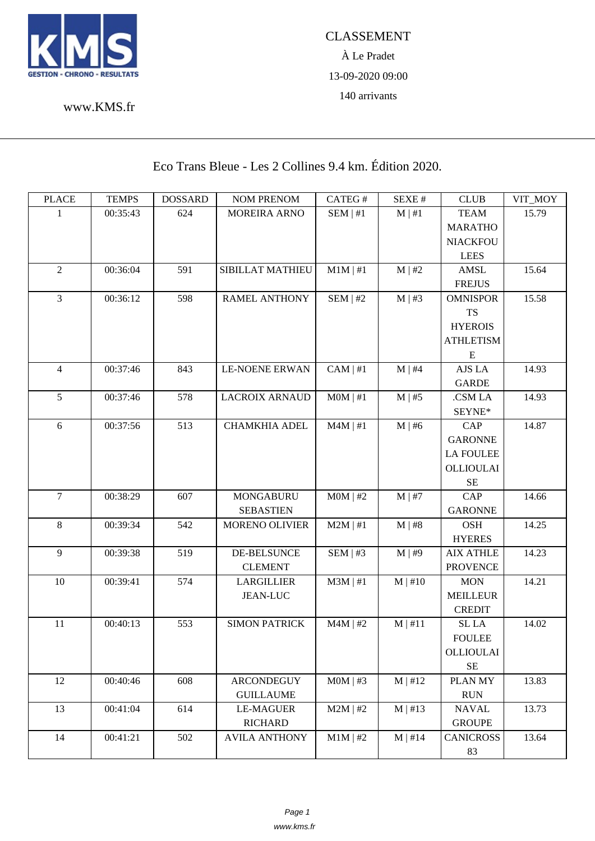

www.KMS.fr

Eco Trans Bleue - Les 2 Collines 9.4 km. Édition 2020.

| <b>PLACE</b>   | <b>TEMPS</b> | <b>DOSSARD</b> | <b>NOM PRENOM</b>     | CATEG#        | SEXE#        | CLUB             | VIT_MOY |
|----------------|--------------|----------------|-----------------------|---------------|--------------|------------------|---------|
| 1              | 00:35:43     | 624            | MOREIRA ARNO          | SEM   #1      | $M \mid #1$  | <b>TEAM</b>      | 15.79   |
|                |              |                |                       |               |              | <b>MARATHO</b>   |         |
|                |              |                |                       |               |              | <b>NIACKFOU</b>  |         |
|                |              |                |                       |               |              | <b>LEES</b>      |         |
| $\overline{2}$ | 00:36:04     | 591            | SIBILLAT MATHIEU      | $M1M \mid #1$ | M   #2       | <b>AMSL</b>      | 15.64   |
|                |              |                |                       |               |              | <b>FREJUS</b>    |         |
| $\overline{3}$ | 00:36:12     | 598            | <b>RAMEL ANTHONY</b>  | SEM   #2      | $M \mid #3$  | <b>OMNISPOR</b>  | 15.58   |
|                |              |                |                       |               |              | <b>TS</b>        |         |
|                |              |                |                       |               |              | <b>HYEROIS</b>   |         |
|                |              |                |                       |               |              | <b>ATHLETISM</b> |         |
|                |              |                |                       |               |              | E                |         |
| 4              | 00:37:46     | 843            | <b>LE-NOENE ERWAN</b> | $CAM \mid #1$ | $M \mid #4$  | AJS LA           | 14.93   |
|                |              |                |                       |               |              | <b>GARDE</b>     |         |
| 5              | 00:37:46     | 578            | <b>LACROIX ARNAUD</b> | $MOM$   #1    | $M \mid #5$  | .CSM LA          | 14.93   |
|                |              |                |                       |               |              | SEYNE*           |         |
| 6              | 00:37:56     | 513            | <b>CHAMKHIA ADEL</b>  | $M4M$   #1    | $M \mid #6$  | <b>CAP</b>       | 14.87   |
|                |              |                |                       |               |              | <b>GARONNE</b>   |         |
|                |              |                |                       |               |              | <b>LA FOULEE</b> |         |
|                |              |                |                       |               |              | OLLIOULAI        |         |
|                |              |                |                       |               |              | $\rm SE$         |         |
| $\tau$         | 00:38:29     | 607            | <b>MONGABURU</b>      | $MOM$   #2    | $M$   #7     | CAP              | 14.66   |
|                |              |                | <b>SEBASTIEN</b>      |               |              | <b>GARONNE</b>   |         |
| 8              | 00:39:34     | 542            | <b>MORENO OLIVIER</b> | $M2M$   #1    | M   #8       | <b>OSH</b>       | 14.25   |
|                |              |                |                       |               |              | <b>HYERES</b>    |         |
| 9              | 00:39:38     | 519            | <b>DE-BELSUNCE</b>    | SEM   #3      | $M \mid #9$  | <b>AIX ATHLE</b> | 14.23   |
|                |              |                | <b>CLEMENT</b>        |               |              | <b>PROVENCE</b>  |         |
| 10             | 00:39:41     | 574            | <b>LARGILLIER</b>     | $M3M$   #1    | $M$   #10    | <b>MON</b>       | 14.21   |
|                |              |                | <b>JEAN-LUC</b>       |               |              | <b>MEILLEUR</b>  |         |
|                |              |                |                       |               |              | <b>CREDIT</b>    |         |
| 11             | 00:40:13     | 553            | <b>SIMON PATRICK</b>  | $M4M$   #2    | M   #11      | SL LA            | 14.02   |
|                |              |                |                       |               |              | <b>FOULEE</b>    |         |
|                |              |                |                       |               |              | <b>OLLIOULAI</b> |         |
|                |              |                |                       |               |              | $\rm SE$         |         |
| 12             | 00:40:46     | 608            | <b>ARCONDEGUY</b>     | $MOM$   #3    | M   #12      | <b>PLANMY</b>    | 13.83   |
|                |              |                | <b>GUILLAUME</b>      |               |              | <b>RUN</b>       |         |
| 13             | 00:41:04     | 614            | <b>LE-MAGUER</b>      | $M2M$   #2    | $M \mid #13$ | <b>NAVAL</b>     | 13.73   |
|                |              |                | <b>RICHARD</b>        |               |              | <b>GROUPE</b>    |         |
| 14             | 00:41:21     | 502            | <b>AVILA ANTHONY</b>  | $M1M$   #2    | $M \mid #14$ | <b>CANICROSS</b> | 13.64   |
|                |              |                |                       |               |              | 83               |         |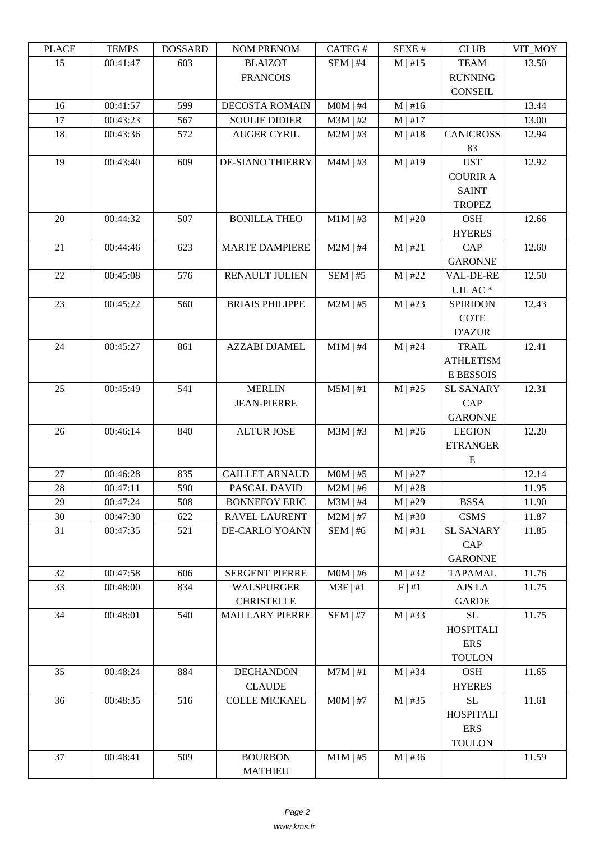| ם המדו | L LIVIL D | <b>DOPPULP</b> | <b>TAQIMI I IVETAQIMI</b> | $CALU \pi$ | π تىدىد      | <b>CEOD</b>      | $V11$ $V1$ |
|--------|-----------|----------------|---------------------------|------------|--------------|------------------|------------|
| 15     | 00:41:47  | 603            | <b>BLAIZOT</b>            | SEM   #4   | $M \mid #15$ | <b>TEAM</b>      | 13.50      |
|        |           |                | <b>FRANCOIS</b>           |            |              | <b>RUNNING</b>   |            |
|        |           |                |                           |            |              | <b>CONSEIL</b>   |            |
| 16     | 00:41:57  | 599            | <b>DECOSTA ROMAIN</b>     | $MOM$   #4 | $M \mid #16$ |                  | 13.44      |
| 17     | 00:43:23  | 567            | <b>SOULIE DIDIER</b>      | $M3M$   #2 | $M \mid #17$ |                  | 13.00      |
| 18     | 00:43:36  | 572            | <b>AUGER CYRIL</b>        | $M2M$   #3 | $M \mid #18$ | <b>CANICROSS</b> | 12.94      |
|        |           |                |                           |            |              | 83               |            |
| 19     | 00:43:40  | 609            | <b>DE-SIANO THIERRY</b>   | $M4M$   #3 | $M \mid #19$ | <b>UST</b>       | 12.92      |
|        |           |                |                           |            |              | <b>COURIR A</b>  |            |
|        |           |                |                           |            |              | <b>SAINT</b>     |            |
|        |           |                |                           |            |              | <b>TROPEZ</b>    |            |
| 20     | 00:44:32  | 507            | <b>BONILLA THEO</b>       | $M1M$   #3 | $M$   #20    | <b>OSH</b>       | 12.66      |
|        |           |                |                           |            |              | <b>HYERES</b>    |            |
| 21     | 00:44:46  | 623            | <b>MARTE DAMPIERE</b>     | $M2M$   #4 | M   #21      | CAP              | 12.60      |
|        |           |                |                           |            |              | <b>GARONNE</b>   |            |
| 22     | 00:45:08  | 576            | <b>RENAULT JULIEN</b>     | SEM   #5   | $M$   #22    | VAL-DE-RE        | 12.50      |
|        |           |                |                           |            |              | UIL AC $^\ast$   |            |
| 23     | 00:45:22  | 560            | <b>BRIAIS PHILIPPE</b>    | $M2M$   #5 | $M$   #23    | <b>SPIRIDON</b>  | 12.43      |
|        |           |                |                           |            |              | <b>COTE</b>      |            |
|        |           |                |                           |            |              | <b>D'AZUR</b>    |            |
| 24     | 00:45:27  | 861            | <b>AZZABI DJAMEL</b>      | $M1M$   #4 | $M$   #24    | <b>TRAIL</b>     | 12.41      |
|        |           |                |                           |            |              |                  |            |
|        |           |                |                           |            |              | <b>ATHLETISM</b> |            |
|        |           |                |                           |            |              | E BESSOIS        |            |
| 25     | 00:45:49  | 541            | <b>MERLIN</b>             | $M5M$   #1 | $M$   #25    | <b>SL SANARY</b> | 12.31      |
|        |           |                | <b>JEAN-PIERRE</b>        |            |              | CAP              |            |
|        |           |                |                           |            |              | <b>GARONNE</b>   |            |
| 26     | 00:46:14  | 840            | <b>ALTUR JOSE</b>         | $M3M$   #3 | $M$   #26    | <b>LEGION</b>    | 12.20      |
|        |           |                |                           |            |              | <b>ETRANGER</b>  |            |
|        |           |                |                           |            |              | ${\bf E}$        |            |
| 27     | 00:46:28  | 835            | <b>CAILLET ARNAUD</b>     | $MOM$   #5 | $M$   #27    |                  | 12.14      |
| 28     | 00:47:11  | 590            | PASCAL DAVID              | $M2M$   #6 | $M$   #28    |                  | 11.95      |
| 29     | 00:47:24  | 508            | <b>BONNEFOY ERIC</b>      | $M3M$   #4 | $M \mid #29$ | <b>BSSA</b>      | 11.90      |
| 30     | 00:47:30  | 622            | RAVEL LAURENT             | $M2M$   #7 | $M$   #30    | <b>CSMS</b>      | 11.87      |
| 31     | 00:47:35  | 521            | DE-CARLO YOANN            | SEM   #6   | M   #31      | <b>SL SANARY</b> | 11.85      |
|        |           |                |                           |            |              | CAP              |            |
|        |           |                |                           |            |              | <b>GARONNE</b>   |            |
| 32     | 00:47:58  | 606            | <b>SERGENT PIERRE</b>     | $MOM$   #6 | $M$   #32    | <b>TAPAMAL</b>   | 11.76      |
| 33     | 00:48:00  | 834            | WALSPURGER                | $M3F$   #1 | $F \mid #1$  | AJS LA           | 11.75      |
|        |           |                | <b>CHRISTELLE</b>         |            |              | <b>GARDE</b>     |            |
| 34     | 00:48:01  | 540            | MAILLARY PIERRE           | SEM   #7   | $M$   #33    | <b>SL</b>        | 11.75      |
|        |           |                |                           |            |              | <b>HOSPITALI</b> |            |
|        |           |                |                           |            |              | <b>ERS</b>       |            |
|        |           |                |                           |            |              | <b>TOULON</b>    |            |
| 35     | 00:48:24  | 884            | <b>DECHANDON</b>          | $M7M$   #1 | $M$   #34    | <b>OSH</b>       | 11.65      |
|        |           |                | <b>CLAUDE</b>             |            |              | <b>HYERES</b>    |            |
| 36     | 00:48:35  | 516            | <b>COLLE MICKAEL</b>      | $MOM$   #7 | $M$   #35    | SL               | 11.61      |
|        |           |                |                           |            |              | <b>HOSPITALI</b> |            |
|        |           |                |                           |            |              | <b>ERS</b>       |            |
|        |           |                |                           |            |              | <b>TOULON</b>    |            |
| 37     | 00:48:41  | 509            | <b>BOURBON</b>            | $M1M$   #5 | $M$   #36    |                  | 11.59      |
|        |           |                | <b>MATHIEU</b>            |            |              |                  |            |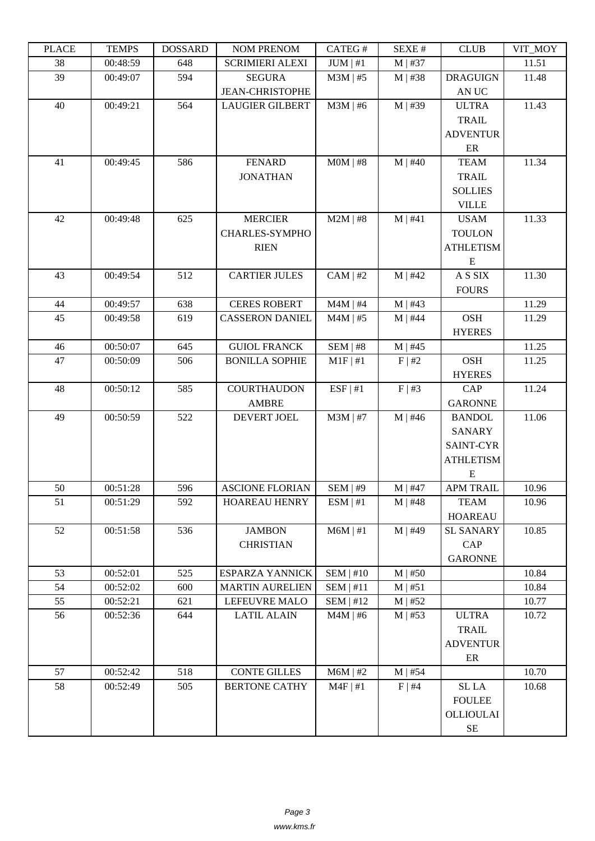| LLAUD | L TIATI D | <b>UUUUUUU</b> | <b>NUMERION</b>        | CΛ1 LU π      | DL/AL π      | CLUD             | VII_MUI |
|-------|-----------|----------------|------------------------|---------------|--------------|------------------|---------|
| 38    | 00:48:59  | 648            | <b>SCRIMIERI ALEXI</b> | $JUM \mid #1$ | $M$   #37    |                  | 11.51   |
| 39    | 00:49:07  | 594            | <b>SEGURA</b>          | $M3M$   #5    | $M$   #38    | <b>DRAGUIGN</b>  | 11.48   |
|       |           |                | <b>JEAN-CHRISTOPHE</b> |               |              | AN UC            |         |
| 40    | 00:49:21  | 564            | <b>LAUGIER GILBERT</b> | $M3M$   #6    | $M$   #39    | <b>ULTRA</b>     | 11.43   |
|       |           |                |                        |               |              | <b>TRAIL</b>     |         |
|       |           |                |                        |               |              | <b>ADVENTUR</b>  |         |
|       |           |                |                        |               |              | ER               |         |
| 41    | 00:49:45  | 586            | <b>FENARD</b>          | $MOM$   #8    | $M$   #40    | <b>TEAM</b>      | 11.34   |
|       |           |                | <b>JONATHAN</b>        |               |              | TRAIL            |         |
|       |           |                |                        |               |              | <b>SOLLIES</b>   |         |
|       |           |                |                        |               |              | <b>VILLE</b>     |         |
| 42    | 00:49:48  | 625            | <b>MERCIER</b>         | $M2M$   #8    | M   #41      | <b>USAM</b>      | 11.33   |
|       |           |                | CHARLES-SYMPHO         |               |              | <b>TOULON</b>    |         |
|       |           |                | <b>RIEN</b>            |               |              | <b>ATHLETISM</b> |         |
|       |           |                |                        |               |              | Ε                |         |
| 43    | 00:49:54  | 512            | <b>CARTIER JULES</b>   | $CAM \mid #2$ | $M$   #42    | A S SIX          | 11.30   |
|       |           |                |                        |               |              | <b>FOURS</b>     |         |
| 44    | 00:49:57  | 638            | <b>CERES ROBERT</b>    | $M4M$   #4    | $M$   #43    |                  | 11.29   |
| 45    | 00:49:58  | 619            | <b>CASSERON DANIEL</b> | $M4M$   #5    | $M$   #44    | <b>OSH</b>       | 11.29   |
|       |           |                |                        |               |              | <b>HYERES</b>    |         |
| 46    | 00:50:07  | 645            | <b>GUIOL FRANCK</b>    | $SEM$   #8    | $M$   #45    |                  | 11.25   |
| 47    | 00:50:09  | 506            | <b>BONILLA SOPHIE</b>  | $M1F$   #1    | F   #2       | <b>OSH</b>       | 11.25   |
|       |           |                |                        |               |              | <b>HYERES</b>    |         |
| 48    | 00:50:12  | 585            | <b>COURTHAUDON</b>     | ESF   #1      | F   #3       | <b>CAP</b>       | 11.24   |
|       |           |                | <b>AMBRE</b>           |               |              | <b>GARONNE</b>   |         |
| 49    | 00:50:59  | 522            | DEVERT JOEL            |               |              |                  | 11.06   |
|       |           |                |                        | $M3M$   #7    | $M$   #46    | <b>BANDOL</b>    |         |
|       |           |                |                        |               |              | <b>SANARY</b>    |         |
|       |           |                |                        |               |              | <b>SAINT-CYR</b> |         |
|       |           |                |                        |               |              | <b>ATHLETISM</b> |         |
|       |           |                |                        |               |              | E                |         |
| 50    | 00:51:28  | 596            | <b>ASCIONE FLORIAN</b> | SEM   #9      | $M$   #47    | <b>APM TRAIL</b> | 10.96   |
| 51    | 00:51:29  | 592            | HOAREAU HENRY          | ESM   #1      | $M$   #48    | <b>TEAM</b>      | 10.96   |
|       |           |                |                        |               |              | <b>HOAREAU</b>   |         |
| 52    | 00:51:58  | 536            | <b>JAMBON</b>          | $M6M \mid #1$ | $M$   #49    | <b>SL SANARY</b> | 10.85   |
|       |           |                | <b>CHRISTIAN</b>       |               |              | CAP              |         |
|       |           |                |                        |               |              | <b>GARONNE</b>   |         |
| 53    | 00:52:01  | 525            | <b>ESPARZA YANNICK</b> | SEM   #10     | $M$   #50    |                  | 10.84   |
| 54    | 00:52:02  | 600            | <b>MARTIN AURELIEN</b> | $SEM$   #11   | $M \mid #51$ |                  | 10.84   |
| 55    | 00:52:21  | 621            | LEFEUVRE MALO          | $SEM$   #12   | $M$   #52    |                  | 10.77   |
| 56    | 00:52:36  | 644            | <b>LATIL ALAIN</b>     | $M4M$   #6    | $M$   #53    | <b>ULTRA</b>     | 10.72   |
|       |           |                |                        |               |              | TRAIL            |         |
|       |           |                |                        |               |              | <b>ADVENTUR</b>  |         |
|       |           |                |                        |               |              | ER               |         |
| 57    | 00:52:42  | 518            | <b>CONTE GILLES</b>    | $M6M$   #2    | $M$   #54    |                  | 10.70   |
| 58    | 00:52:49  | 505            | <b>BERTONE CATHY</b>   | $M4F$   #1    | $F \mid #4$  | $\rm SL~LA$      | 10.68   |
|       |           |                |                        |               |              | <b>FOULEE</b>    |         |
|       |           |                |                        |               |              | OLLIOULAI        |         |
|       |           |                |                        |               |              | $\rm SE$         |         |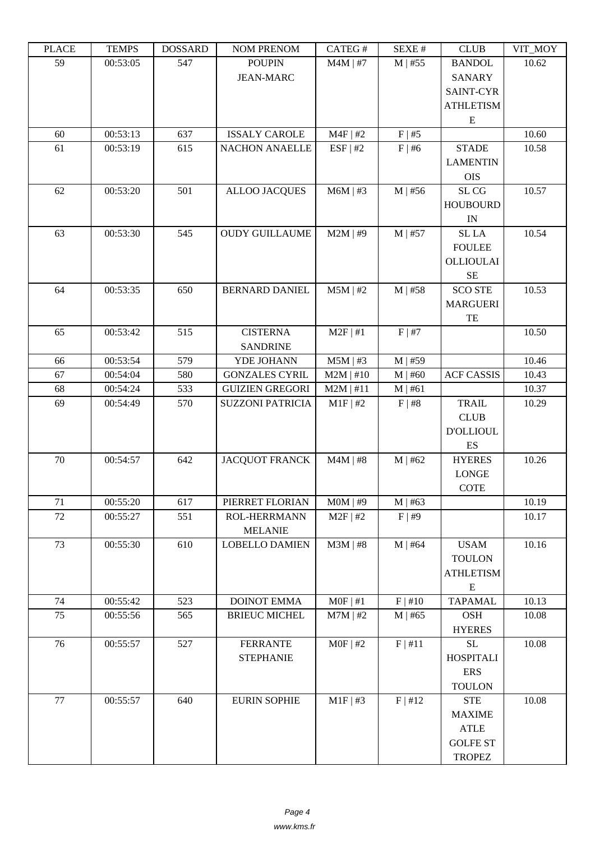| ם התרו | ט וואום ו | DODDAND | <b>TAQIMET IZETAQIME</b>          | $CATEO \pi$ | SEΔE π       | <b>CEOD</b>                    | $V11$ $V1$ |
|--------|-----------|---------|-----------------------------------|-------------|--------------|--------------------------------|------------|
| 59     | 00:53:05  | 547     | <b>POUPIN</b><br><b>JEAN-MARC</b> | $M4M$   #7  | $M$   #55    | <b>BANDOL</b><br><b>SANARY</b> | 10.62      |
|        |           |         |                                   |             |              | <b>SAINT-CYR</b>               |            |
|        |           |         |                                   |             |              | <b>ATHLETISM</b>               |            |
|        |           |         |                                   |             |              | ${\bf E}$                      |            |
| 60     | 00:53:13  | 637     | <b>ISSALY CAROLE</b>              | $M4F$   #2  | F   #5       |                                | 10.60      |
| 61     | 00:53:19  | 615     | <b>NACHON ANAELLE</b>             | ESF   #2    | $F$   #6     | <b>STADE</b>                   | 10.58      |
|        |           |         |                                   |             |              | <b>LAMENTIN</b>                |            |
|        |           |         |                                   |             |              | <b>OIS</b>                     |            |
| 62     | 00:53:20  | 501     | <b>ALLOO JACQUES</b>              | $M6M$   #3  | $M$   #56    | SL CG                          | 10.57      |
|        |           |         |                                   |             |              | <b>HOUBOURD</b>                |            |
|        |           |         |                                   |             |              | IN                             |            |
| 63     | 00:53:30  | 545     | <b>OUDY GUILLAUME</b>             | $M2M$   #9  | $M$   #57    | SL LA                          | 10.54      |
|        |           |         |                                   |             |              | <b>FOULEE</b>                  |            |
|        |           |         |                                   |             |              | <b>OLLIOULAI</b>               |            |
|        |           |         |                                   |             |              | $\rm SE$                       |            |
| 64     | 00:53:35  | 650     | <b>BERNARD DANIEL</b>             | $M5M$   #2  | $M$   #58    | <b>SCO STE</b>                 | 10.53      |
|        |           |         |                                   |             |              | <b>MARGUERI</b>                |            |
|        |           |         |                                   |             |              | TE                             |            |
| 65     | 00:53:42  | 515     | <b>CISTERNA</b>                   | $M2F$   #1  | F   #7       |                                | 10.50      |
|        |           |         | <b>SANDRINE</b>                   |             |              |                                |            |
| 66     | 00:53:54  | 579     | YDE JOHANN                        | $M5M$   #3  | $M$   #59    |                                | 10.46      |
| 67     | 00:54:04  | 580     | <b>GONZALES CYRIL</b>             | $M2M$   #10 | $M$   #60    | <b>ACF CASSIS</b>              | 10.43      |
| 68     | 00:54:24  | 533     | <b>GUIZIEN GREGORI</b>            | $M2M$   #11 | M   #61      |                                | 10.37      |
| 69     | 00:54:49  | 570     | <b>SUZZONI PATRICIA</b>           | $M1F$   #2  | F   #8       | <b>TRAIL</b>                   | 10.29      |
|        |           |         |                                   |             |              | <b>CLUB</b>                    |            |
|        |           |         |                                   |             |              | <b>D'OLLIOUL</b>               |            |
|        |           |         |                                   |             |              | ES                             |            |
| 70     | 00:54:57  | 642     | <b>JACQUOT FRANCK</b>             | $M4M$   #8  | M   #62      | <b>HYERES</b>                  | 10.26      |
|        |           |         |                                   |             |              | <b>LONGE</b>                   |            |
|        |           |         |                                   |             |              | <b>COTE</b>                    |            |
| 71     | 00:55:20  | 617     | PIERRET FLORIAN                   | $MOM$   #9  | $M \mid #63$ |                                | 10.19      |
| 72     | 00:55:27  | 551     | <b>ROL-HERRMANN</b>               | $M2F$   #2  | F   #9       |                                | 10.17      |
|        |           |         | <b>MELANIE</b>                    |             |              |                                |            |
| 73     | 00:55:30  | 610     | <b>LOBELLO DAMIEN</b>             | $M3M$   #8  | $M$   #64    | <b>USAM</b>                    | 10.16      |
|        |           |         |                                   |             |              | <b>TOULON</b>                  |            |
|        |           |         |                                   |             |              | <b>ATHLETISM</b>               |            |
| 74     | 00:55:42  | 523     | <b>DOINOT EMMA</b>                | $MOF$   #1  | F   #10      | ${\bf E}$<br><b>TAPAMAL</b>    | 10.13      |
| 75     | 00:55:56  | 565     | <b>BRIEUC MICHEL</b>              | $M7M$   #2  | $M$   #65    | <b>OSH</b>                     | 10.08      |
|        |           |         |                                   |             |              | <b>HYERES</b>                  |            |
| 76     | 00:55:57  | 527     | <b>FERRANTE</b>                   | $MOF$   #2  | F   #11      | SL                             | 10.08      |
|        |           |         | <b>STEPHANIE</b>                  |             |              | <b>HOSPITALI</b>               |            |
|        |           |         |                                   |             |              | <b>ERS</b>                     |            |
|        |           |         |                                   |             |              | <b>TOULON</b>                  |            |
| 77     | 00:55:57  | 640     | <b>EURIN SOPHIE</b>               | $M1F$ #3    | F   #12      | <b>STE</b>                     | 10.08      |
|        |           |         |                                   |             |              | <b>MAXIME</b>                  |            |
|        |           |         |                                   |             |              | <b>ATLE</b>                    |            |
|        |           |         |                                   |             |              | <b>GOLFE ST</b>                |            |
|        |           |         |                                   |             |              | <b>TROPEZ</b>                  |            |
|        |           |         |                                   |             |              |                                |            |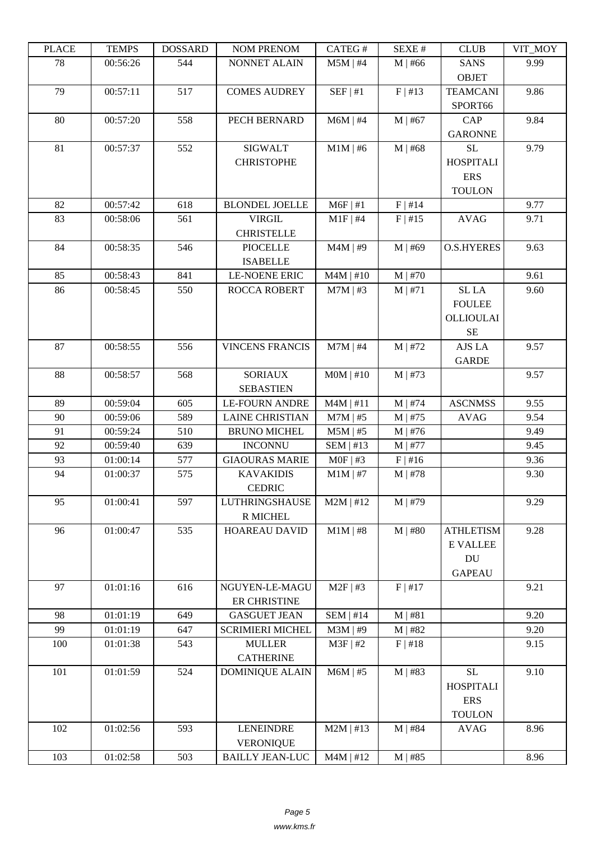| LLAUD | L LIVII D | <b>UUUUUUU</b> | <b>NUMERICAY</b>        | CATLO 11    | DL/AL π      | CLUD                        | VII_WIO I |
|-------|-----------|----------------|-------------------------|-------------|--------------|-----------------------------|-----------|
| 78    | 00:56:26  | 544            | NONNET ALAIN            | $M5M$   #4  | $M$   #66    | <b>SANS</b><br><b>OBJET</b> | 9.99      |
| 79    | 00:57:11  | 517            | <b>COMES AUDREY</b>     | SEF   #1    | F   #13      | <b>TEAMCANI</b><br>SPORT66  | 9.86      |
| 80    | 00:57:20  | 558            | PECH BERNARD            |             |              | <b>CAP</b>                  | 9.84      |
|       |           |                |                         | $M6M$   #4  | $M$   #67    | <b>GARONNE</b>              |           |
| 81    | 00:57:37  | 552            | <b>SIGWALT</b>          | $M1M$   #6  | $M$   #68    | <b>SL</b>                   | 9.79      |
|       |           |                | <b>CHRISTOPHE</b>       |             |              | <b>HOSPITALI</b>            |           |
|       |           |                |                         |             |              | <b>ERS</b>                  |           |
|       |           |                |                         |             |              | <b>TOULON</b>               |           |
| 82    | 00:57:42  | 618            | <b>BLONDEL JOELLE</b>   | $M6F$   #1  | F   #14      |                             | 9.77      |
| 83    | 00:58:06  | 561            | <b>VIRGIL</b>           | $M1F$   #4  | $F$   #15    | <b>AVAG</b>                 | 9.71      |
|       |           |                | <b>CHRISTELLE</b>       |             |              |                             |           |
| 84    | 00:58:35  | 546            | <b>PIOCELLE</b>         | $M4M$   #9  | $M$   #69    | <b>O.S.HYERES</b>           | 9.63      |
|       |           |                | <b>ISABELLE</b>         |             |              |                             |           |
| 85    | 00:58:43  | 841            | <b>LE-NOENE ERIC</b>    | $M4M$   #10 | $M$   #70    |                             | 9.61      |
| 86    | 00:58:45  | 550            | <b>ROCCA ROBERT</b>     | $M7M$   #3  | $M \mid #71$ | SL <sub>LA</sub>            | 9.60      |
|       |           |                |                         |             |              | <b>FOULEE</b>               |           |
|       |           |                |                         |             |              |                             |           |
|       |           |                |                         |             |              | <b>OLLIOULAI</b>            |           |
|       |           |                |                         |             |              | $\rm SE$                    |           |
| 87    | 00:58:55  | 556            | <b>VINCENS FRANCIS</b>  | $M7M$   #4  | $M$   #72    | AJS LA                      | 9.57      |
|       |           |                |                         |             |              | <b>GARDE</b>                |           |
| 88    | 00:58:57  | 568            | <b>SORIAUX</b>          | $MOM$   #10 | $M$   #73    |                             | 9.57      |
|       |           |                | <b>SEBASTIEN</b>        |             |              |                             |           |
| 89    | 00:59:04  | 605            | <b>LE-FOURN ANDRE</b>   | $M4M$   #11 | $M$   #74    | <b>ASCNMSS</b>              | 9.55      |
| 90    | 00:59:06  | 589            | <b>LAINE CHRISTIAN</b>  | $M7M$   #5  | $M$   #75    | <b>AVAG</b>                 | 9.54      |
| 91    | 00:59:24  | 510            | <b>BRUNO MICHEL</b>     | $M5M$   #5  | $M$   #76    |                             | 9.49      |
| 92    | 00:59:40  | 639            | <b>INCONNU</b>          | $SEM$   #13 | $M$   #77    |                             | 9.45      |
| 93    | 01:00:14  | 577            | <b>GIAOURAS MARIE</b>   | $MOF$   #3  | $F$   #16    |                             | 9.36      |
| 94    | 01:00:37  | 575            | <b>KAVAKIDIS</b>        | $M1M$   #7  | $M$   #78    |                             | 9.30      |
|       |           |                | <b>CEDRIC</b>           |             |              |                             |           |
| 95    | 01:00:41  | 597            | <b>LUTHRINGSHAUSE</b>   | $M2M$   #12 | $M$   #79    |                             | 9.29      |
|       |           |                | R MICHEL                |             |              |                             |           |
| 96    | 01:00:47  | 535            | HOAREAU DAVID           | $M1M$   #8  | $M$   #80    | <b>ATHLETISM</b>            | 9.28      |
|       |           |                |                         |             |              | <b>E VALLEE</b>             |           |
|       |           |                |                         |             |              | DU                          |           |
|       |           |                |                         |             |              | <b>GAPEAU</b>               |           |
| 97    | 01:01:16  | 616            | NGUYEN-LE-MAGU          | $M2F$   #3  | F   #17      |                             | 9.21      |
|       |           |                | ER CHRISTINE            |             |              |                             |           |
| 98    | 01:01:19  | 649            | <b>GASGUET JEAN</b>     | $SEM$   #14 | M   #81      |                             | 9.20      |
| 99    | 01:01:19  | 647            | <b>SCRIMIERI MICHEL</b> | $M3M$   #9  | $M$   #82    |                             | 9.20      |
| 100   | 01:01:38  | 543            | <b>MULLER</b>           | $M3F$   #2  | F   #18      |                             | 9.15      |
|       |           |                | <b>CATHERINE</b>        |             |              |                             |           |
| 101   | 01:01:59  | 524            | <b>DOMINIQUE ALAIN</b>  | $M6M$   #5  | $M$   #83    | <b>SL</b>                   | 9.10      |
|       |           |                |                         |             |              | <b>HOSPITALI</b>            |           |
|       |           |                |                         |             |              | <b>ERS</b>                  |           |
|       |           |                |                         |             |              | <b>TOULON</b>               |           |
|       |           |                |                         | $M2M$   #13 | $M$   #84    |                             |           |
| 102   | 01:02:56  | 593            | <b>LENEINDRE</b>        |             |              | <b>AVAG</b>                 | 8.96      |
|       |           |                | <b>VERONIQUE</b>        |             |              |                             |           |
| 103   | 01:02:58  | 503            | <b>BAILLY JEAN-LUC</b>  | $M4M$   #12 | $M$   #85    |                             | 8.96      |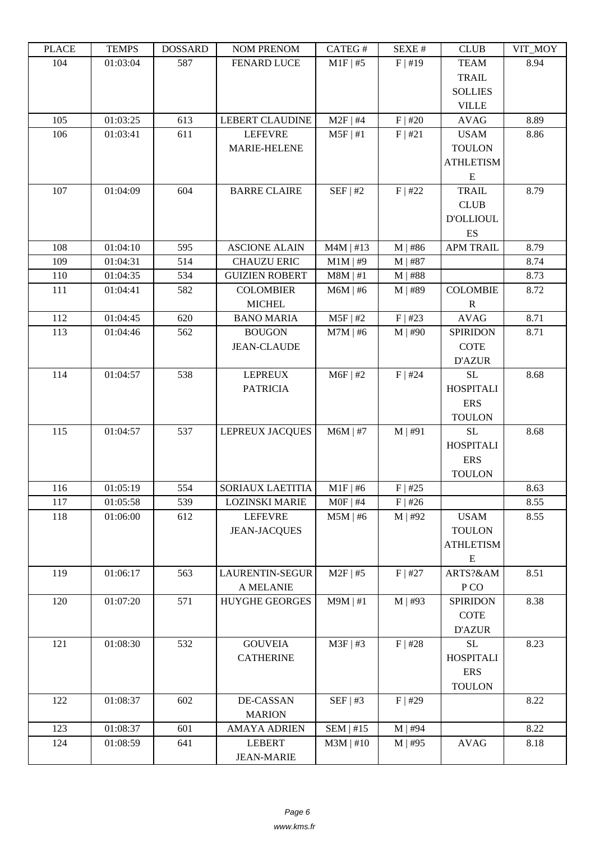| LEACE | ט גוועדו | <b><i>ANURGOA</i></b> | I'UM I KLIVUM          | CATLO T     | DL/AL π   | CLUD             | VII_MUI |
|-------|----------|-----------------------|------------------------|-------------|-----------|------------------|---------|
| 104   | 01:03:04 | 587                   | <b>FENARD LUCE</b>     | $M1F$   #5  | $F$  #19  | <b>TEAM</b>      | 8.94    |
|       |          |                       |                        |             |           | <b>TRAIL</b>     |         |
|       |          |                       |                        |             |           | <b>SOLLIES</b>   |         |
|       |          |                       |                        |             |           | <b>VILLE</b>     |         |
| 105   | 01:03:25 | 613                   | <b>LEBERT CLAUDINE</b> | $M2F$   #4  | F   #20   | <b>AVAG</b>      | 8.89    |
| 106   | 01:03:41 | 611                   | <b>LEFEVRE</b>         | $M5F$   #1  | F   #21   | <b>USAM</b>      | 8.86    |
|       |          |                       | <b>MARIE-HELENE</b>    |             |           | <b>TOULON</b>    |         |
|       |          |                       |                        |             |           | <b>ATHLETISM</b> |         |
|       |          |                       |                        |             |           | E                |         |
| 107   | 01:04:09 | 604                   | <b>BARRE CLAIRE</b>    | SEF   #2    | $F$   #22 | <b>TRAIL</b>     | 8.79    |
|       |          |                       |                        |             |           | CLUB             |         |
|       |          |                       |                        |             |           | <b>D'OLLIOUL</b> |         |
|       |          |                       |                        |             |           | ES               |         |
| 108   | 01:04:10 | 595                   | <b>ASCIONE ALAIN</b>   | $M4M$   #13 | $M$   #86 | <b>APM TRAIL</b> | 8.79    |
| 109   | 01:04:31 | 514                   | <b>CHAUZU ERIC</b>     | $M1M$   #9  | $M$   #87 |                  | 8.74    |
| 110   | 01:04:35 | 534                   | <b>GUIZIEN ROBERT</b>  | $M8M$   #1  | $M$   #88 |                  | 8.73    |
| 111   | 01:04:41 | 582                   | <b>COLOMBIER</b>       | $M6M$   #6  | $M$   #89 | <b>COLOMBIE</b>  | 8.72    |
|       |          |                       | <b>MICHEL</b>          |             |           | $\mathbb{R}$     |         |
| 112   | 01:04:45 | 620                   | <b>BANO MARIA</b>      | $M5F$   #2  | F   #23   | <b>AVAG</b>      | 8.71    |
| 113   | 01:04:46 | 562                   | <b>BOUGON</b>          | $M7M$   #6  | $M$   #90 | <b>SPIRIDON</b>  | 8.71    |
|       |          |                       | <b>JEAN-CLAUDE</b>     |             |           | <b>COTE</b>      |         |
|       |          |                       |                        |             |           | <b>D'AZUR</b>    |         |
| 114   | 01:04:57 | 538                   | <b>LEPREUX</b>         | $M6F$   #2  | $F$   #24 | <b>SL</b>        | 8.68    |
|       |          |                       | <b>PATRICIA</b>        |             |           | <b>HOSPITALI</b> |         |
|       |          |                       |                        |             |           | <b>ERS</b>       |         |
|       |          |                       |                        |             |           | <b>TOULON</b>    |         |
| 115   | 01:04:57 | 537                   | LEPREUX JACQUES        | $M6M$   #7  | $M$   #91 | <b>SL</b>        | 8.68    |
|       |          |                       |                        |             |           | <b>HOSPITALI</b> |         |
|       |          |                       |                        |             |           | <b>ERS</b>       |         |
|       |          |                       |                        |             |           | <b>TOULON</b>    |         |
| 116   | 01:05:19 | 554                   | SORIAUX LAETITIA       | $M1F$   #6  | $F$   #25 |                  | 8.63    |
| 117   | 01:05:58 | 539                   | <b>LOZINSKI MARIE</b>  | $MOF$   #4  | $F$   #26 |                  | 8.55    |
| 118   | 01:06:00 | 612                   | <b>LEFEVRE</b>         | $M5M$   #6  | $M$   #92 | <b>USAM</b>      | 8.55    |
|       |          |                       | <b>JEAN-JACQUES</b>    |             |           | <b>TOULON</b>    |         |
|       |          |                       |                        |             |           | <b>ATHLETISM</b> |         |
|       |          |                       |                        |             |           | ${\bf E}$        |         |
| 119   | 01:06:17 | 563                   | LAURENTIN-SEGUR        | $M2F$   #5  | $F$   #27 | ARTS?&AM         | 8.51    |
|       |          |                       | A MELANIE              |             |           | P <sub>CO</sub>  |         |
| 120   | 01:07:20 | 571                   | <b>HUYGHE GEORGES</b>  | $M9M$   #1  | $M$   #93 | <b>SPIRIDON</b>  | 8.38    |
|       |          |                       |                        |             |           | <b>COTE</b>      |         |
|       |          |                       |                        |             |           | <b>D'AZUR</b>    |         |
| 121   | 01:08:30 | 532                   | <b>GOUVEIA</b>         | $M3F$ #3    | $F$   #28 | $\rm SL$         | 8.23    |
|       |          |                       | <b>CATHERINE</b>       |             |           | <b>HOSPITALI</b> |         |
|       |          |                       |                        |             |           | <b>ERS</b>       |         |
|       |          |                       |                        |             |           |                  |         |
|       |          |                       |                        |             |           | <b>TOULON</b>    |         |
| 122   | 01:08:37 | 602                   | DE-CASSAN              | SEF   #3    | $F$   #29 |                  | 8.22    |
|       |          |                       | <b>MARION</b>          |             |           |                  |         |
| 123   | 01:08:37 | 601                   | <b>AMAYA ADRIEN</b>    | SEM   #15   | $M$   #94 |                  | 8.22    |
| 124   | 01:08:59 | 641                   | <b>LEBERT</b>          | $M3M$   #10 | $M$   #95 | <b>AVAG</b>      | 8.18    |
|       |          |                       | <b>JEAN-MARIE</b>      |             |           |                  |         |